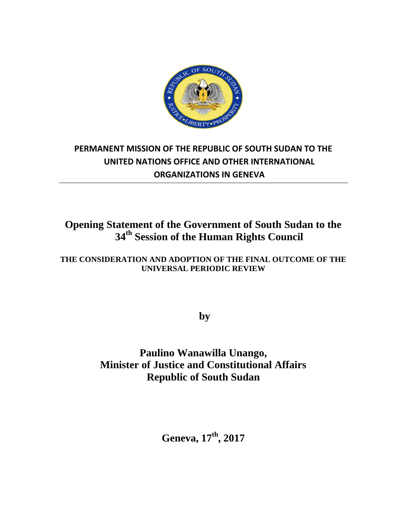

# **PERMANENT MISSION OF THE REPUBLIC OF SOUTH SUDAN TO THE UNITED NATIONS OFFICE AND OTHER INTERNATIONAL ORGANIZATIONS IN GENEVA**

# **Opening Statement of the Government of South Sudan to the 34th Session of the Human Rights Council**

### **THE CONSIDERATION AND ADOPTION OF THE FINAL OUTCOME OF THE UNIVERSAL PERIODIC REVIEW**

**by** 

## **Paulino Wanawilla Unango, Minister of Justice and Constitutional Affairs Republic of South Sudan**

**Geneva, 17th , 2017**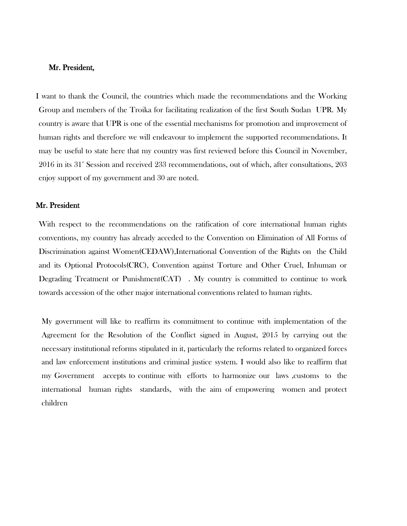### Mr. President,

I want to thank the Council, the countries which made the recommendations and the Working Group and members of the Troika for facilitating realization of the first South Sudan UPR. My country is aware that UPR is one of the essential mechanisms for promotion and improvement of human rights and therefore we will endeavour to implement the supported recommendations. It may be useful to state here that my country was first reviewed before this Council in November, 2016 in its 31<sup>st</sup> Session and received 233 recommendations, out of which, after consultations, 203 enjoy support of my government and 30 are noted.

#### Mr. President

With respect to the recommendations on the ratification of core international human rights conventions, my country has already acceded to the Convention on Elimination of All Forms of Discrimination against Women(CEDAW),International Convention of the Rights on the Child and its Optional Protocols(CRC), Convention against Torture and Other Cruel, Inhuman or Degrading Treatment or Punishment(CAT) . My country is committed to continue to work towards accession of the other major international conventions related to human rights.

My government will like to reaffirm its commitment to continue with implementation of the Agreement for the Resolution of the Conflict signed in August, 2015 by carrying out the necessary institutional reforms stipulated in it, particularly the reforms related to organized forces and law enforcement institutions and criminal justice system. I would also like to reaffirm that my Government accepts to continue with efforts to harmonize our laws ,customs to the international human rights standards, with the aim of empowering women and protect children